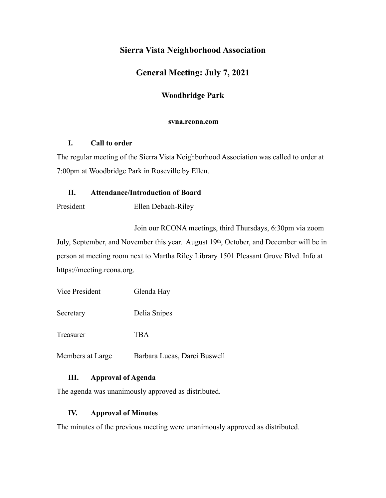# **Sierra Vista Neighborhood Association**

# **General Meeting: July 7, 2021**

## **Woodbridge Park**

#### **svna.rcona.com**

### **I. Call to order**

The regular meeting of the Sierra Vista Neighborhood Association was called to order at 7:00pm at Woodbridge Park in Roseville by Ellen.

## **II. Attendance/Introduction of Board**

President Ellen Debach-Riley

 Join our RCONA meetings, third Thursdays, 6:30pm via zoom July, September, and November this year. August 19th, October, and December will be in person at meeting room next to Martha Riley Library 1501 Pleasant Grove Blvd. Info at https://meeting.rcona.org.

| Vice President   | Glenda Hay                   |
|------------------|------------------------------|
| Secretary        | Delia Snipes                 |
| Treasurer        | TBA                          |
| Members at Large | Barbara Lucas, Darci Buswell |

## **III. Approval of Agenda**

The agenda was unanimously approved as distributed.

## **IV. Approval of Minutes**

The minutes of the previous meeting were unanimously approved as distributed.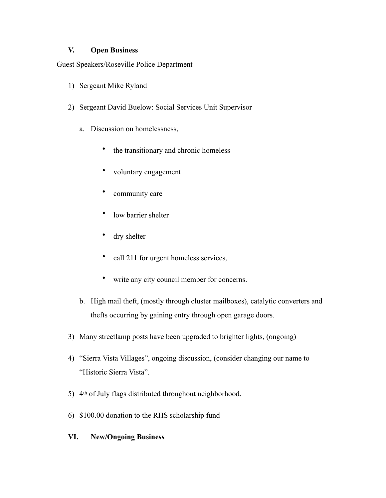### **V. Open Business**

Guest Speakers/Roseville Police Department

- 1) Sergeant Mike Ryland
- 2) Sergeant David Buelow: Social Services Unit Supervisor
	- a. Discussion on homelessness,
		- the transitionary and chronic homeless
		- voluntary engagement
		- community care
		- low barrier shelter
		- dry shelter
		- call 211 for urgent homeless services,
		- write any city council member for concerns.
	- b. High mail theft, (mostly through cluster mailboxes), catalytic converters and thefts occurring by gaining entry through open garage doors.
- 3) Many streetlamp posts have been upgraded to brighter lights, (ongoing)
- 4) "Sierra Vista Villages", ongoing discussion, (consider changing our name to "Historic Sierra Vista".
- 5) 4th of July flags distributed throughout neighborhood.
- 6) \$100.00 donation to the RHS scholarship fund

### **VI. New/Ongoing Business**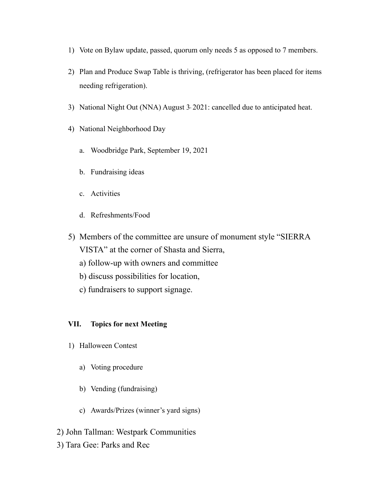- 1) Vote on Bylaw update, passed, quorum only needs 5 as opposed to 7 members.
- 2) Plan and Produce Swap Table is thriving, (refrigerator has been placed for items needing refrigeration).
- 3) National Night Out (NNA) August 3, 2021: cancelled due to anticipated heat.
- 4) National Neighborhood Day
	- a. Woodbridge Park, September 19, 2021
	- b. Fundraising ideas
	- c. Activities
	- d. Refreshments/Food
- 5) Members of the committee are unsure of monument style "SIERRA VISTA" at the corner of Shasta and Sierra,
	- a) follow-up with owners and committee
	- b) discuss possibilities for location,
	- c) fundraisers to support signage.

#### **VII. Topics for next Meeting**

- 1) Halloween Contest
	- a) Voting procedure
	- b) Vending (fundraising)
	- c) Awards/Prizes (winner's yard signs)
- 2) John Tallman: Westpark Communities
- 3) Tara Gee: Parks and Rec